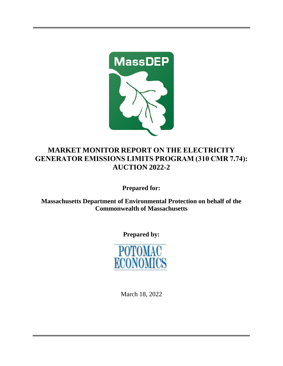

## **MARKET MONITOR REPORT ON THE ELECTRICITY GENERATOR EMISSIONS LIMITS PROGRAM (310 CMR 7.74): AUCTION 2022-2**

**Prepared for:** 

**Massachusetts Department of Environmental Protection on behalf of the Commonwealth of Massachusetts**

**Prepared by:**



March 18, 2022